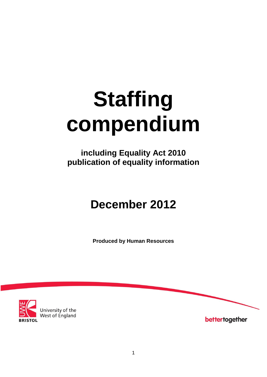# **Staffing compendium**

**including Equality Act 2010 publication of equality information**

# **December 2012**

**Produced by Human Resources**



University of the<br>West of England

bettertogether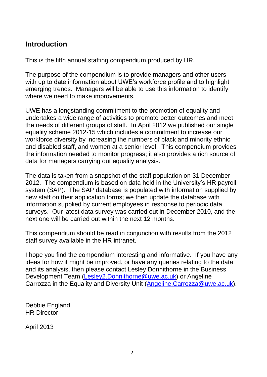# **Introduction**

This is the fifth annual staffing compendium produced by HR.

The purpose of the compendium is to provide managers and other users with up to date information about UWE's workforce profile and to highlight emerging trends. Managers will be able to use this information to identify where we need to make improvements.

UWE has a longstanding commitment to the promotion of equality and undertakes a wide range of activities to promote better outcomes and meet the needs of different groups of staff. In April 2012 we published our single equality scheme 2012-15 which includes a commitment to increase our workforce diversity by increasing the numbers of black and minority ethnic and disabled staff, and women at a senior level. This compendium provides the information needed to monitor progress; it also provides a rich source of data for managers carrying out equality analysis.

The data is taken from a snapshot of the staff population on 31 December 2012. The compendium is based on data held in the University's HR payroll system (SAP). The SAP database is populated with information supplied by new staff on their application forms; we then update the database with information supplied by current employees in response to periodic data surveys. Our latest data survey was carried out in December 2010, and the next one will be carried out within the next 12 months.

This compendium should be read in conjunction with results from the 2012 staff survey available in the HR intranet.

I hope you find the compendium interesting and informative. If you have any ideas for how it might be improved, or have any queries relating to the data and its analysis, then please contact Lesley Donnithorne in the Business Development Team [\(Lesley2.Donnithorne@uwe.ac.uk\)](mailto:Lesley2.Donnithorne@uwe.ac.uk) or Angeline Carrozza in the Equality and Diversity Unit (Angeline.Carrozza@uwe.ac.uk).

Debbie England HR Director

April 2013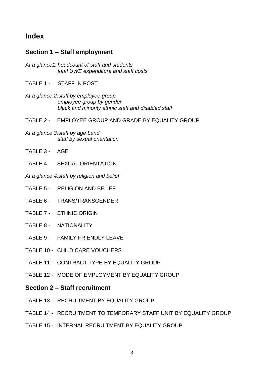## **Index**

#### **Section 1 – Staff employment**

- *At a glance1: headcount of staff and students total UWE expenditure and staff costs*
- TABLE 1 STAFF IN POST
- *At a glance 2:staff by employee group employee group by gender black and minority ethnic staff and disabled staff*
- TABLE 2 EMPLOYEE GROUP AND GRADE BY EQUALITY GROUP
- *At a glance 3:staff by age band staff by sexual orientation*
- TABLE 3 AGE
- TABLE 4 SEXUAL ORIENTATION

*At a glance 4:staff by religion and belief*

- TABLE 5 RELIGION AND BELIEF
- TABLE 6 TRANS/TRANSGENDER
- TABLE 7 ETHNIC ORIGIN
- TABLE 8 NATIONALITY
- TABLE 9 FAMILY FRIENDLY LEAVE
- TABLE 10 CHILD CARE VOUCHERS
- TABLE 11 CONTRACT TYPE BY EQUALITY GROUP
- TABLE 12 MODE OF EMPLOYMENT BY EQUALITY GROUP

#### **Section 2 – Staff recruitment**

- TABLE 13 RECRUITMENT BY EQUALITY GROUP
- TABLE 14 RECRUITMENT TO TEMPORARY STAFF UNIT BY EQUALITY GROUP
- TABLE 15 INTERNAL RECRUITMENT BY EQUALITY GROUP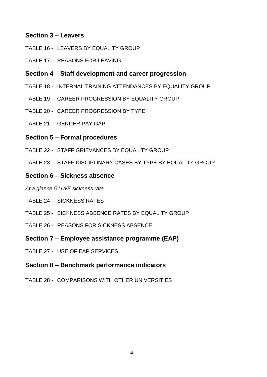#### **Section 3 – Leavers**

- TABLE 16 LEAVERS BY EQUALITY GROUP
- TABLE 17 REASONS FOR LEAVING

#### **Section 4 – Staff development and career progression**

- TABLE 18 INTERNAL TRAINING ATTENDANCES BY EQUALITY GROUP
- TABLE 19 CAREER PROGRESSION BY EQUALITY GROUP
- TABLE 20 CAREER PROGRESSION BY TYPE
- TABLE 21 GENDER PAY GAP

#### **Section 5 – Formal procedures**

- TABLE 22 STAFF GRIEVANCES BY EQUALITY GROUP
- TABLE 23 STAFF DISCIPLINARY CASES BY TYPE BY EQUALITY GROUP

#### **Section 6 – Sickness absence**

- *At a glance 5:UWE sickness rate*
- TABLE 24 SICKNESS RATES
- TABLE 25 SICKNESS ABSENCE RATES BY EQUALITY GROUP
- TABLE 26 REASONS FOR SICKNESS ABSENCE
- **Section 7 – Employee assistance programme (EAP)**
- TABLE 27 USE OF EAP SERVICES

#### **Section 8 – Benchmark performance indicators**

TABLE 28 - COMPARISONS WITH OTHER UNIVERSITIES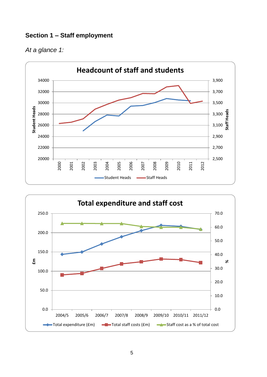### **Section 1 – Staff employment**





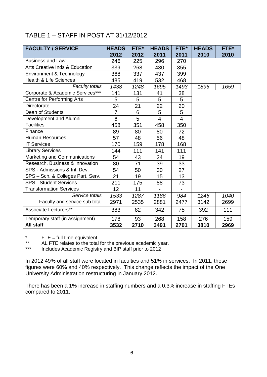# TABLE 1 – STAFF IN POST AT 31/12/2012

| <b>FACULTY / SERVICE</b>                  | <b>HEADS</b>   | FTE* | <b>HEADS</b>   | FTE*           | <b>HEADS</b> | FTE* |
|-------------------------------------------|----------------|------|----------------|----------------|--------------|------|
|                                           | 2012           | 2012 | 2011           | 2011           | 2010         | 2010 |
| <b>Business and Law</b>                   | 246            | 225  | 296            | 270            |              |      |
| <b>Arts Creative Inds &amp; Education</b> | 339            | 268  | 430            | 355            |              |      |
| Environment & Technology                  | 368            | 337  | 437            | 399            |              |      |
| <b>Health &amp; Life Sciences</b>         | 485            | 419  | 532            | 468            |              |      |
| <b>Faculty totals</b>                     | 1438           | 1248 | 1695           | 1493           | 1896         | 1659 |
| Corporate & Academic Services***          | 141            | 131  | 41             | 38             |              |      |
| Centre for Performing Arts                | 5              | 5    | 5              | 5              |              |      |
| <b>Directorate</b>                        | 24             | 21   | 22             | 20             |              |      |
| Dean of Students                          | $\overline{7}$ | 6    | 5              | 5              |              |      |
| Development and Alumni                    | 6              | 5    | $\overline{4}$ | $\overline{4}$ |              |      |
| <b>Facilities</b>                         | 458            | 351  | 458            | 350            |              |      |
| Finance                                   | 89             | 80   | 80             | 72             |              |      |
| <b>Human Resources</b>                    | 57             | 48   | 56             | 48             |              |      |
| <b>IT Services</b>                        | 170            | 159  | 178            | 168            |              |      |
| <b>Library Services</b>                   | 144            | 111  | 141            | 111            |              |      |
| Marketing and Communications              | 54             | 43   | 24             | 19             |              |      |
| Research, Business & Innovation           | 80             | 71   | 39             | 33             |              |      |
| SPS - Admissions & Intl Dev.              | 54             | 50   | 30             | 27             |              |      |
| SPS - Sch. & Colleges Part. Serv.         | 21             | 19   | 15             | 13             |              |      |
| <b>SPS - Student Services</b>             | 211            | 175  | 88             | 73             |              |      |
| <b>Transformation Services</b>            | 12             | 11   |                |                |              |      |
| Service totals                            | 1533           | 1287 | 1186           | 984            | 1246         | 1040 |
| Faculty and service sub total             | 2971           | 2535 | 2881           | 2477           | 3142         | 2699 |
| Associate Lecturers**                     | 383            | 82   | 342            | 75             | 392          | 111  |
| Temporary staff (in assignment)           | 178            | 93   | 268            | 158            | 276          | 159  |
| All staff                                 | 3532           | 2710 | 3491           | 2701           | 3810         | 2969 |

\*  $FTE = full time equivalent$ <br>\*\*  $\Delta I = TF$  relates to the total

\*\* AL FTE relates to the total for the previous academic year.<br>\*\*\* locudes Academic Registry and BIP staff prior to 2012

Includes Academic Registry and BIP staff prior to 2012

In 2012 49% of all staff were located in faculties and 51% in services. In 2011, these figures were 60% and 40% respectively. This change reflects the impact of the One University Administration restructuring in January 2012.

There has been a 1% increase in staffing numbers and a 0.3% increase in staffing FTEs compared to 2011.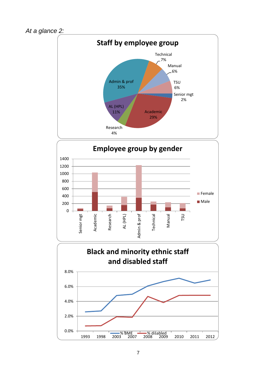



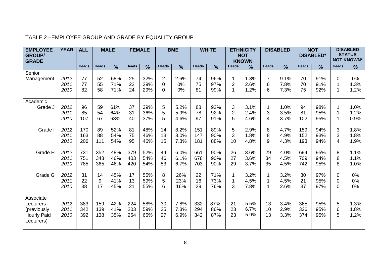| <b>EMPLOYEE</b><br><b>GROUP/</b><br><b>GRADE</b>                          | <b>YEAR</b>          | <b>ALL</b>        |                   | <b>MALE</b>       |                   | <b>FEMALE</b>     |                                           | <b>BME</b>           |                   | <b>WHITE</b>      | <b>ETHNICITY</b><br><b>NOT</b><br><b>KNOWN</b> |                      | <b>NOT</b><br><b>DISABLED</b><br><b>DISABLED*</b> |                      |                   | <b>DISABLED</b><br><b>STATUS</b><br><b>NOT KNOWN*</b> |              |                      |
|---------------------------------------------------------------------------|----------------------|-------------------|-------------------|-------------------|-------------------|-------------------|-------------------------------------------|----------------------|-------------------|-------------------|------------------------------------------------|----------------------|---------------------------------------------------|----------------------|-------------------|-------------------------------------------------------|--------------|----------------------|
|                                                                           |                      | <b>Heads</b>      | <b>Heads</b>      | $\frac{9}{6}$     | <b>Heads</b>      | $\%$              | <b>Heads</b>                              | %                    | <b>Heads</b>      | $\frac{9}{6}$     | <b>Heads</b>                                   | $\frac{9}{6}$        | <b>Heads</b>                                      | $\frac{9}{6}$        | <b>Heads</b>      | $\frac{0}{0}$                                         | <b>Heads</b> | %                    |
| Senior<br>Management                                                      | 2012<br>2011<br>2010 | 77<br>77<br>82    | 52<br>55<br>58    | 68%<br>71%<br>71% | 25<br>22<br>24    | 32%<br>29%<br>29% | $\overline{2}$<br>$\mathbf 0$<br>$\Omega$ | 2.6%<br>0%<br>0%     | 74<br>75<br>81    | 96%<br>97%<br>99% | 1<br>$\overline{2}$<br>$\mathbf{1}$            | 1.3%<br>2.6%<br>1.2% | $\overline{7}$<br>6<br>6                          | 9.1%<br>7.8%<br>7.3% | 70<br>70<br>75    | 91%<br>91%<br>92%                                     | 0<br>1<br>1  | 0%<br>1.3%<br>1.2%   |
| Academic<br>Grade J                                                       | 2012<br>2011<br>2010 | 96<br>85<br>107   | 59<br>54<br>67    | 61%<br>64%<br>63% | 37<br>31<br>40    | 39%<br>36%<br>37% | 5<br>5<br>5                               | 5.2%<br>5.9%<br>4.6% | 88<br>78<br>97    | 92%<br>92%<br>91% | 3<br>$\overline{\mathbf{c}}$<br>5              | 3.1%<br>2.4%<br>4.6% | $\overline{1}$<br>3<br>4                          | 1.0%<br>3.5%<br>3.7% | 94<br>81<br>102   | 98%<br>95%<br>95%                                     | 1<br>1<br>1  | 1.0%<br>1.2%<br>0.9% |
| Grade I                                                                   | 2012<br>2011<br>2010 | 170<br>163<br>206 | 89<br>88<br>111   | 52%<br>54%<br>54% | 81<br>75<br>95    | 48%<br>46%<br>46% | 14<br>13<br>15                            | 8.2%<br>8.0%<br>7.3% | 151<br>147<br>181 | 89%<br>90%<br>88% | 5<br>3<br>10                                   | 2.9%<br>1.8%<br>4.8% | 8<br>8<br>9                                       | 4.7%<br>4.9%<br>4.3% | 159<br>152<br>193 | 94%<br>93%<br>94%                                     | 3<br>3<br>4  | 1.8%<br>1.8%<br>1.9% |
| Grade H                                                                   | 2012<br>2011<br>2010 | 731<br>751<br>785 | 352<br>348<br>365 | 48%<br>46%<br>46% | 379<br>403<br>420 | 52%<br>54%<br>54% | 44<br>46<br>53                            | 6.0%<br>6.1%<br>6.7% | 661<br>678<br>703 | 90%<br>90%<br>90% | 26<br>27<br>29                                 | 3.6%<br>3.6%<br>3.7% | 29<br>34<br>35                                    | 4.0%<br>4.5%<br>4.5% | 694<br>709<br>742 | 95%<br>94%<br>95%                                     | 8<br>8<br>8  | 1.1%<br>1.1%<br>1.0% |
| Grade G                                                                   | 2012<br>2011<br>2010 | 31<br>22<br>38    | 14<br>9<br>17     | 45%<br>41%<br>45% | 17<br>13<br>21    | 55%<br>59%<br>55% | 8<br>5<br>6                               | 26%<br>23%<br>16%    | 22<br>16<br>29    | 71%<br>73%<br>76% | 1<br>1<br>3                                    | 3.2%<br>4.5%<br>7.8% | 1<br>1<br>1                                       | 3.2%<br>4.5%<br>2.6% | 30<br>21<br>37    | 97%<br>95%<br>97%                                     | 0<br>0<br>0  | 0%<br>0%<br>0%       |
| Associate<br>Lecturers<br>(previously<br><b>Hourly Paid</b><br>Lecturers) | 2012<br>2011<br>2010 | 383<br>342<br>392 | 159<br>139<br>138 | 42%<br>41%<br>35% | 224<br>203<br>254 | 58%<br>59%<br>65% | 30<br>25<br>27                            | 7.8%<br>7.3%<br>6.9% | 332<br>294<br>342 | 87%<br>86%<br>87% | 21<br>23<br>23                                 | 5.5%<br>6.7%<br>5.9% | 13<br>10<br>13                                    | 3.4%<br>2.9%<br>3.3% | 365<br>326<br>374 | 95%<br>95%<br>95%                                     | 5<br>6<br>5  | 1.3%<br>1.8%<br>1.2% |

#### TABLE 2 –EMPLOYEE GROUP AND GRADE BY EQUALITY GROUP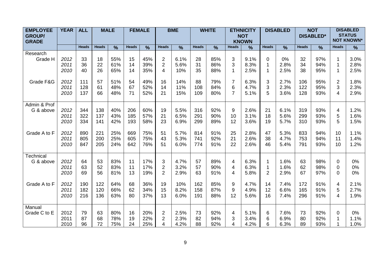| <b>EMPLOYEE</b><br><b>GROUP/</b><br><b>GRADE</b> | <b>YEAR</b>  | <b>ALL</b>   |              | <b>MALE</b>   |              | <b>FEMALE</b> |                | <b>BME</b>    |              | <b>WHITE</b>  |                     | <b>ETHNICITY</b><br><b>NOT</b><br><b>KNOWN</b> |              | <b>DISABLED</b> |              | <b>NOT</b><br><b>DISABLED*</b> |                     | <b>DISABLED</b><br><b>STATUS</b><br><b>NOT KNOWN*</b> |
|--------------------------------------------------|--------------|--------------|--------------|---------------|--------------|---------------|----------------|---------------|--------------|---------------|---------------------|------------------------------------------------|--------------|-----------------|--------------|--------------------------------|---------------------|-------------------------------------------------------|
|                                                  |              | <b>Heads</b> | <b>Heads</b> | $\frac{0}{0}$ | <b>Heads</b> | $\frac{9}{6}$ | <b>Heads</b>   | $\frac{9}{6}$ | <b>Heads</b> | $\frac{9}{6}$ | <b>Heads</b>        | $\frac{9}{6}$                                  | <b>Heads</b> | $\frac{9}{6}$   | <b>Heads</b> | $\frac{9}{6}$                  | <b>Heads</b>        | $\frac{9}{6}$                                         |
| Research                                         |              |              |              |               |              |               |                |               |              |               |                     |                                                |              |                 |              |                                |                     |                                                       |
| Grade H                                          | 2012         | 33           | 18           | 55%           | 15           | 45%           | $\overline{2}$ | 6.1%          | 28           | 85%           | 3                   | 9.1%                                           | $\mathbf 0$  | 0%              | 32           | 97%                            |                     | 3.0%                                                  |
|                                                  | 2011         | 36           | 22           | 61%           | 14           | 39%           | $\overline{2}$ | 5.6%          | 31           | 86%           | 3                   | 8.3%                                           | $\mathbf{1}$ | 2.8%            | 34           | 94%                            |                     | 2.8%                                                  |
|                                                  | 2010         | 40           | 26           | 65%           | 14           | 35%           | 4              | 10%           | 35           | 88%           | $\mathbf 1$         | 2.5%                                           | $\mathbf 1$  | 2.5%            | 38           | 95%                            | 1                   | 2.5%                                                  |
|                                                  |              |              |              |               |              |               |                |               |              |               |                     |                                                |              |                 |              |                                |                     |                                                       |
| Grade F&G                                        | 2012<br>2011 | 111<br>128   | 57<br>61     | 51%<br>48%    | 54<br>67     | 49%<br>52%    | 16<br>14       | 14%<br>11%    | 88<br>108    | 79%<br>84%    | $\overline{7}$<br>6 | 6.3%<br>4.7%                                   | 3<br>3       | 2.7%            | 106<br>122   | 95%<br>95%                     | $\overline{2}$<br>3 | 1.8%<br>2.3%                                          |
|                                                  | 2010         | 137          | 66           | 48%           | 71           | 52%           | 21             | 15%           | 109          | 80%           | $\overline{7}$      | 5.1%                                           | 5            | 2.3%<br>3.6%    | 128          | 93%                            | 4                   | 2.9%                                                  |
|                                                  |              |              |              |               |              |               |                |               |              |               |                     |                                                |              |                 |              |                                |                     |                                                       |
| Admin & Prof                                     |              |              |              |               |              |               |                |               |              |               |                     |                                                |              |                 |              |                                |                     |                                                       |
| G & above                                        | 2012         | 344          | 138          | 40%           | 206          | 60%           | 19             | 5.5%          | 316          | 92%           | 9                   | 2.6%                                           | 21           | 6.1%            | 319          | 93%                            | 4                   | 1.2%                                                  |
|                                                  | 2011         | 322          | 137          | 43%           | 185          | 57%           | 21             | 6.5%          | 291          | 90%           | 10                  | 3.1%                                           | 18           | 5.6%            | 299          | 93%                            | 5                   | 1.6%                                                  |
|                                                  | 2010         | 334          | 141          | 42%           | 193          | 58%           | 23             | 6.9%          | 299          | 89%           | 12                  | 3.6%                                           | 19           | 5.7%            | 310          | 93%                            | 5                   | 1.5%                                                  |
|                                                  |              |              |              |               |              |               |                |               |              |               |                     |                                                |              |                 |              |                                |                     |                                                       |
| Grade A to F                                     | 2012         | 890          | 221          | 25%           | 669          | 75%           | 51             | 5.7%          | 814          | 91%           | 25                  | 2.8%                                           | 47           | 5.3%            | 833          | 94%                            | 10                  | 1.1%                                                  |
|                                                  | 2011         | 805          | 200          | 25%           | 605          | 75%           | 43             | 5.3%          | 741          | 92%           | 21                  | 2.6%                                           | 38           | 4.7%            | 753          | 94%                            | 11                  | 1.4%                                                  |
|                                                  | 2010         | 847          | 205          | 24%           | 642          | 76%           | 51             | 6.0%          | 774          | 91%           | 22                  | 2.6%                                           | 46           | 5.4%            | 791          | 93%                            | 10                  | 1.2%                                                  |
| Technical                                        |              |              |              |               |              |               |                |               |              |               |                     |                                                |              |                 |              |                                |                     |                                                       |
| G & above                                        | 2012         | 64           | 53           | 83%           | 11           | 17%           | 3              | 4.7%          | 57           | 89%           | 4                   | 6.3%                                           | 1            | 1.6%            | 63           | 98%                            | 0                   | 0%                                                    |
|                                                  | 2011         | 63           | 52           | 83%           | 11           | 17%           | 2              | 3.2%          | 57           | 90%           | 4                   | 6.3%                                           | $\mathbf 1$  | 1.6%            | 62           | 98%                            | $\Omega$            | 0%                                                    |
|                                                  | 2010         | 69           | 56           | 81%           | 13           | 19%           | $\overline{2}$ | 2.9%          | 63           | 91%           | 4                   | 5.8%                                           | 2            | 2.9%            | 67           | 97%                            | 0                   | 0%                                                    |
|                                                  |              |              |              |               |              |               |                |               |              |               |                     |                                                |              |                 |              |                                |                     |                                                       |
| Grade A to F                                     | 2012         | 190          | 122          | 64%           | 68           | 36%           | 19             | 10%           | 162          | 85%           | 9                   | 4.7%                                           | 14           | 7.4%            | 172          | 91%                            | 4                   | 2.1%                                                  |
|                                                  | 2011         | 182          | 120          | 66%           | 62           | 34%           | 15             | 8.2%          | 158          | 87%           | 9                   | 4.9%                                           | 12           | 6.6%            | 165          | 91%                            | 5                   | 2.7%                                                  |
|                                                  | 2010         | 216          | 136          | 63%           | 80           | 37%           | 13             | 6.0%          | 191          | 88%           | 12                  | 5.6%                                           | 16           | 7.4%            | 296          | 91%                            | 4                   | 1.9%                                                  |
|                                                  |              |              |              |               |              |               |                |               |              |               |                     |                                                |              |                 |              |                                |                     |                                                       |
| Manual                                           |              |              |              |               |              |               |                |               |              |               |                     |                                                |              |                 |              |                                |                     |                                                       |
| Grade C to E                                     | 2012         | 79           | 63           | 80%           | 16           | 20%           | $\overline{2}$ | 2.5%          | 73<br>82     | 92%           | 4                   | 5.1%                                           | 6            | 7.6%            | 73           | 92%                            | $\Omega$            | 0%                                                    |
|                                                  | 2011         | 87<br>96     | 68           | 78%           | 19           | 22%           | $\overline{2}$ | 2.3%          |              | 94%           | 3                   | 3.4%                                           | 6            | 6.9%            | 80           | 92%                            |                     | 1.1%                                                  |
|                                                  | 2010         |              | 72           | 75%           | 24           | 25%           | 4              | 4.2%          | 88           | 92%           | 4                   | 4.2%                                           | 6            | 6.3%            | 89           | 93%                            |                     | 1.0%                                                  |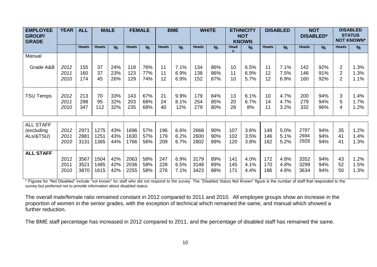| <b>EMPLOYEE</b><br><b>GROUP/</b><br><b>GRADE</b> | <b>YEAR</b> | <b>ALL</b>   |              | <b>MALE</b>   |              | <b>FEMALE</b> |              | <b>BME</b><br><b>WHITE</b><br><b>ETHNICITY</b><br><b>NOT</b><br><b>KNOWN</b> |              |               | <b>NOT</b><br><b>DISABLED</b><br><b>DISABLED*</b> |               | <b>DISABLED</b><br><b>STATUS</b><br><b>NOT KNOWN*</b> |               |              |               |                |      |
|--------------------------------------------------|-------------|--------------|--------------|---------------|--------------|---------------|--------------|------------------------------------------------------------------------------|--------------|---------------|---------------------------------------------------|---------------|-------------------------------------------------------|---------------|--------------|---------------|----------------|------|
|                                                  |             | <b>Heads</b> | <b>Heads</b> | $\frac{0}{0}$ | <b>Heads</b> | $\frac{1}{2}$ | <b>Heads</b> | $\frac{9}{6}$                                                                | <b>Heads</b> | $\frac{9}{6}$ | Head                                              | $\frac{9}{6}$ | <b>Heads</b>                                          | $\frac{9}{6}$ | <b>Heads</b> | $\frac{9}{6}$ | <b>Heads</b>   | %    |
| Manual                                           |             |              |              |               |              |               |              |                                                                              |              |               |                                                   |               |                                                       |               |              |               |                |      |
| Grade A&B                                        | 2012        | 155          | 37           | 24%           | 118          | 76%           | 11           | 7.1%                                                                         | 134          | 86%           | 10                                                | 6.5%          | 11                                                    | 7.1%          | 142          | 92%           | 2              | 1.3% |
|                                                  | 2011        | 160          | 37           | 23%           | 123          | 77%           | 11           | 6.9%                                                                         | 138          | 86%           | 11                                                | 6.9%          | 12                                                    | 7.5%          | 146          | 91%           | $\overline{2}$ | 1.3% |
|                                                  | 2010        | 174          | 45           | 26%           | 129          | 74%           | 12           | 6.9%                                                                         | 152          | 87%           | 10                                                | 5.7%          | 12                                                    | 6.9%          | 160          | 92%           | $\overline{2}$ | 1.1% |
| <b>TSU Temps</b>                                 | 2012        | 213          | 70           | 33%           | 143          | 67%           | 21           | 9.9%                                                                         | 179          | 84%           | 13                                                | 6.1%          | 10                                                    | 4.7%          | 200          | 94%           | 3              | 1.4% |
|                                                  | 2011        | 298          | 95           | 32%           | 203          | 68%           | 24           | 8.1%                                                                         | 254          | 85%           | 20                                                | 6.7%          | 14                                                    | 4.7%          | 279          | 94%           | 5              | 1.7% |
|                                                  | 2010        | 347          | 112          | 32%           | 235          | 68%           | 40           | 12%                                                                          | 279          | 80%           | 28                                                | 8%            | 11                                                    | 3.2%          | 332          | 96%           | 4              | 1.2% |
| <b>ALL STAFF</b>                                 | 2012        | 2971         | 1275         | 43%           | 1696         | 57%           | 196          | 6.6%                                                                         | 2668         | 90%           | 107                                               | 3.6%          | 149                                                   | 5.0%          | 2787         | 94%           | 35             | 1.2% |
| (excluding                                       | 2011        | 2881         | 1251         | 43%           | 1630         | 57%           | 179          | 6.2%                                                                         | 2600         | 90%           | 102                                               | 3.5%          | 146                                                   | 5.1%          | 2694         | 94%           | 41             | 1.4% |
| ALs/&TSU)                                        | 2010        | 3131         | 1365         | 44%           | 1766         | 56%           | 209          | 6.7%                                                                         | 2802         | 89%           | 120                                               | 3.8%          | 162                                                   | 5.2%          | 2928         | 94%           | 41             | 1.3% |
| <b>ALL STAFF</b>                                 | 2012        | 3567         | 1504         | 42%           | 2063         | 58%           | 247          | 6.9%                                                                         | 3179         | 89%           | 141                                               | 4.0%          | 172                                                   | 4.8%          | 3352         | 94%           | 43             | 1.2% |
|                                                  | 2011        | 3521         | 1485         | 42%           | 2036         | 58%           | 228          | 6.5%                                                                         | 3148         | 89%           | 145                                               | 4.1%          | 170                                                   | 4.8%          | 3299         | 94%           | 52             | 1.5% |
|                                                  | 2010        | 3870         | 1615         | 42%           | 2255         | 58%           | 276          | 7.1%                                                                         | 3423         | 88%           | 171                                               | 4.4%          | 186                                                   | 4.8%          | 3634         | 94%           | 50             | 1.3% |

\* Figures for "Not Disabled" include "not known" for staff who did not respond to the survey. The "Disabled Status Not Known" figure is the number of staff that responded to the survey but preferred not to provide information about disabled status.

The overall male/female ratio remained constant in 2012 compared to 2011 and 2010. All employee groups show an increase in the proportion of women in the senior grades, with the exception of technical which remained the same, and manual which showed a further reduction.

The BME staff percentage has increased in 2012 compared to 2011, and the percentage of disabled staff has remained the same.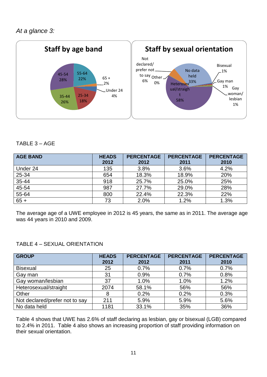

#### TABLE 3 – AGE

| <b>AGE BAND</b> | <b>HEADS</b> | <b>PERCENTAGE</b> | <b>PERCENTAGE</b> | <b>PERCENTAGE</b> |
|-----------------|--------------|-------------------|-------------------|-------------------|
|                 | 2012         | 2012              | 2011              | 2010              |
| Under 24        | 135          | 3.8%              | 3.6%              | 4.2%              |
| 25-34           | 654          | 18.3%             | 18.9%             | 20%               |
| 35-44           | 918          | 25.7%             | 25.0%             | 25%               |
| 45-54           | 987          | 27.7%             | 29.0%             | 28%               |
| 55-64           | 800          | 22.4%             | 22.3%             | 22%               |
| $65 +$          | 73           | 2.0%              | 1.2%              | 1.3%              |

The average age of a UWE employee in 2012 is 45 years, the same as in 2011. The average age was 44 years in 2010 and 2009.

#### TABLE 4 – SEXUAL ORIENTATION

| <b>GROUP</b>                   | <b>HEADS</b> | <b>PERCENTAGE</b> | <b>PERCENTAGE</b> | <b>PERCENTAGE</b> |
|--------------------------------|--------------|-------------------|-------------------|-------------------|
|                                | 2012         | 2012              | 2011              | 2010              |
| <b>Bisexual</b>                | 25           | 0.7%              | 0.7%              | 0.7%              |
| Gay man                        | 31           | 0.9%              | 0.7%              | 0.8%              |
| Gay woman/lesbian              | 37           | 1.0%              | 1.0%              | 1.2%              |
| Heterosexual/straight          | 2074         | 58.1%             | 56%               | 56%               |
| Other                          | 8            | 0.2%              | 0.2%              | 0.3%              |
| Not declared/prefer not to say | 211          | 5.9%              | 5.9%              | 5.6%              |
| No data held                   | 1181         | 33.1%             | 35%               | 36%               |

Table 4 shows that UWE has 2.6% of staff declaring as lesbian, gay or bisexual (LGB) compared to 2.4% in 2011. Table 4 also shows an increasing proportion of staff providing information on their sexual orientation.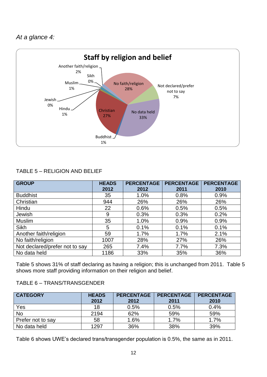*At a glance 4:*



#### TABLE 5 – RELIGION AND BELIEF

| <b>GROUP</b>                   | <b>HEADS</b><br>2012 | <b>PERCENTAGE</b><br>2012 | <b>PERCENTAGE</b><br>2011 | <b>PERCENTAGE</b><br>2010 |
|--------------------------------|----------------------|---------------------------|---------------------------|---------------------------|
| <b>Buddhist</b>                | 35                   | 1.0%                      | 0.8%                      | 0.9%                      |
| Christian                      | 944                  | 26%                       | 26%                       | 26%                       |
| Hindu                          | 22                   | 0.6%                      | 0.5%                      | 0.5%                      |
| Jewish                         | 9                    | 0.3%                      | 0.3%                      | 0.2%                      |
| <b>Muslim</b>                  | 35                   | 1.0%                      | 0.9%                      | 0.9%                      |
| <b>Sikh</b>                    | 5                    | 0.1%                      | 0.1%                      | 0.1%                      |
| Another faith/religion         | 59                   | 1.7%                      | 1.7%                      | 2.1%                      |
| No faith/religion              | 1007                 | 28%                       | 27%                       | 26%                       |
| Not declared/prefer not to say | 265                  | 7.4%                      | 7.7%                      | 7.3%                      |
| No data held                   | 1186                 | 33%                       | 35%                       | 36%                       |

Table 5 shows 31% of staff declaring as having a religion; this is unchanged from 2011. Table 5 shows more staff providing information on their religion and belief.

#### TABLE 6 – TRANS/TRANSGENDER

| <b>CATEGORY</b>   | <b>HEADS</b><br>2012 | <b>PERCENTAGE</b><br>2012 | <b>PERCENTAGE</b><br>2011 | <b>PERCENTAGE</b><br>2010 |
|-------------------|----------------------|---------------------------|---------------------------|---------------------------|
| Yes               | 18                   | 0.5%                      | 0.5%                      | 0.4%                      |
| <b>No</b>         | 2194                 | 62%                       | 59%                       | 59%                       |
| Prefer not to say | 58                   | 1.6%                      | 1.7%                      | 1.7%                      |
| No data held      | 1297                 | 36%                       | 38%                       | 39%                       |

Table 6 shows UWE's declared trans/transgender population is 0.5%, the same as in 2011.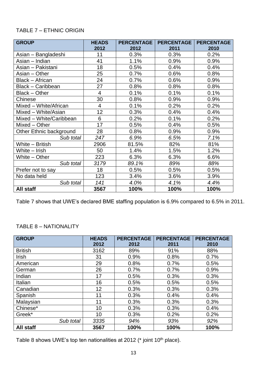#### TABLE 7 – ETHNIC ORIGIN

| <b>GROUP</b>            | <b>HEADS</b>   | <b>PERCENTAGE</b> | <b>PERCENTAGE</b> | <b>PERCENTAGE</b> |
|-------------------------|----------------|-------------------|-------------------|-------------------|
|                         | 2012           | 2012              | 2011              | 2010              |
| Asian - Bangladeshi     | 11             | 0.3%              | 0.3%              | 0.2%              |
| Asian – Indian          | 41             | 1.1%              | 0.9%              | 0.9%              |
| Asian - Pakistani       | 18             | 0.5%              | 0.4%              | 0.4%              |
| Asian - Other           | 25             | 0.7%              | 0.6%              | 0.8%              |
| <b>Black - African</b>  | 24             | 0.7%              | 0.6%              | 0.9%              |
| Black - Caribbean       | 27             | 0.8%              | 0.8%              | 0.8%              |
| Black - Other           | $\overline{4}$ | 0.1%              | 0.1%              | 0.1%              |
| Chinese                 | 30             | 0.8%              | 0.9%              | 0.9%              |
| Mixed - White/African   | $\overline{4}$ | 0.1%              | 0.2%              | 0.2%              |
| Mixed - White/Asian     | 12             | 0.3%              | 0.4%              | 0.4%              |
| Mixed - White/Caribbean | 6              | 0.2%              | 0.1%              | 0.2%              |
| Mixed - Other           | 17             | 0.5%              | 0.4%              | 0.5%              |
| Other Ethnic background | 28             | 0.8%              | 0.9%              | 0.9%              |
| Sub total               | 247            | 6.9%              | 6.5%              | 7.1%              |
| White - British         | 2906           | 81.5%             | 82%               | 81%               |
| White - Irish           | 50             | 1.4%              | 1.5%              | 1.2%              |
| White - Other           | 223            | 6.3%              | 6.3%              | 6.6%              |
| Sub total               | 3179           | 89.1%             | 89%               | 88%               |
| Prefer not to say       | 18             | 0.5%              | 0.5%              | 0.5%              |
| No data held            | 123            | 3.4%              | 3.6%              | 3.9%              |
| Sub total               | 141            | 4.0%              | 4.1%              | 4.4%              |
| All staff               | 3567           | 100%              | 100%              | 100%              |

Table 7 shows that UWE's declared BME staffing population is 6.9% compared to 6.5% in 2011.

#### TABLE 8 – NATIONALITY

| <b>GROUP</b>   | <b>HEADS</b><br>2012 | <b>PERCENTAGE</b><br>2012 | <b>PERCENTAGE</b><br>2011 | <b>PERCENTAGE</b><br>2010 |
|----------------|----------------------|---------------------------|---------------------------|---------------------------|
| <b>British</b> | 3162                 | 89%                       | 91%                       | 88%                       |
|                |                      |                           |                           |                           |
| Irish          | 31                   | 0.9%                      | 0.8%                      | 0.7%                      |
| American       | 29                   | 0.8%                      | 0.7%                      | 0.5%                      |
| German         | 26                   | 0.7%                      | 0.7%                      | 0.9%                      |
| Indian         | 17                   | 0.5%                      | 0.3%                      | 0.3%                      |
| Italian        | 16                   | 0.5%                      | 0.5%                      | 0.5%                      |
| Canadian       | 12                   | 0.3%                      | 0.3%                      | 0.3%                      |
| Spanish        | 11                   | 0.3%                      | 0.4%                      | 0.4%                      |
| Malaysian      | 11                   | 0.3%                      | 0.3%                      | 0.3%                      |
| Chinese*       | 10                   | 0.3%                      | 0.3%                      | 0.4%                      |
| Greek*         | 10                   | 0.3%                      | 0.2%                      | 0.2%                      |
| Sub total      | 3335                 | 94%                       | 93%                       | 92%                       |
| All staff      | 3567                 | 100%                      | 100%                      | 100%                      |

Table 8 shows UWE's top ten nationalities at 2012 (\* joint 10<sup>th</sup> place).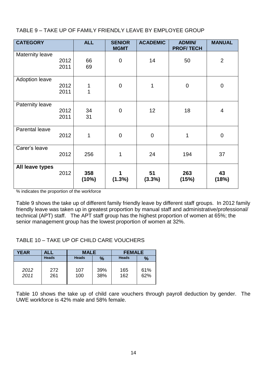TABLE 9 – TAKE UP OF FAMILY FRIENDLY LEAVE BY EMPLOYEE GROUP

| <b>CATEGORY</b>        |              | <b>ALL</b>   | <b>SENIOR</b><br><b>MGMT</b> | <b>ACADEMIC</b>  | <b>ADMIN/</b><br><b>PROF/TECH</b> | <b>MANUAL</b>  |
|------------------------|--------------|--------------|------------------------------|------------------|-----------------------------------|----------------|
| <b>Maternity leave</b> | 2012<br>2011 | 66<br>69     | $\mathbf 0$                  | 14               | 50                                | $\overline{2}$ |
| <b>Adoption leave</b>  | 2012<br>2011 | 1<br>1       | $\boldsymbol{0}$             | 1                | 0                                 | $\pmb{0}$      |
| Paternity leave        | 2012<br>2011 | 34<br>31     | $\boldsymbol{0}$             | 12               | 18                                | $\overline{4}$ |
| Parental leave         | 2012         | 1            | $\mathbf 0$                  | $\boldsymbol{0}$ | 1                                 | $\mathbf 0$    |
| Carer's leave          | 2012         | 256          | 1                            | 24               | 194                               | 37             |
| All leave types        | 2012         | 358<br>(10%) | $(1.3\%)$                    | 51<br>(3.3%)     | 263<br>(15%)                      | 43<br>(18%)    |

% indicates the proportion of the workforce

Table 9 shows the take up of different family friendly leave by different staff groups. In 2012 family friendly leave was taken up in greatest proportion by manual staff and administrative/professional/ technical (APT) staff. The APT staff group has the highest proportion of women at 65%; the senior management group has the lowest proportion of women at 32%.

TABLE 10 – TAKE UP OF CHILD CARE VOUCHERS

| <b>YEAR</b>  | ALL          | <b>MALE</b>  |            | <b>FEMALE</b> |            |  |
|--------------|--------------|--------------|------------|---------------|------------|--|
|              | <b>Heads</b> | <b>Heads</b> | $\%$       | <b>Heads</b>  | $\%$       |  |
| 2012<br>2011 | 272<br>261   | 107<br>100   | 39%<br>38% | 165<br>162    | 61%<br>62% |  |

Table 10 shows the take up of child care vouchers through payroll deduction by gender. The UWE workforce is 42% male and 58% female.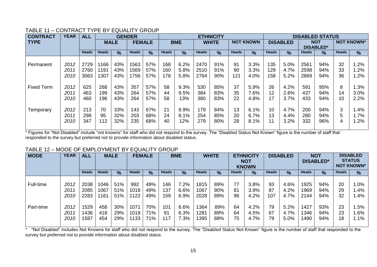| <b>CONTRACT</b>   | <b>YEAR</b> | <b>ALL</b>   |              |               | <b>GENDER</b> |               |              |            |              | <b>ETHNICITY</b> |              |                  |              |                 |              | <b>DISABLED STATUS</b> |              |                   |
|-------------------|-------------|--------------|--------------|---------------|---------------|---------------|--------------|------------|--------------|------------------|--------------|------------------|--------------|-----------------|--------------|------------------------|--------------|-------------------|
| <b>TYPE</b>       |             |              |              | <b>MALE</b>   |               | <b>FEMALE</b> |              | <b>BME</b> |              | <b>WHITE</b>     |              | <b>NOT KNOWN</b> |              | <b>DISABLED</b> |              | <b>NOT</b>             |              | <b>NOT KNOWN*</b> |
|                   |             |              |              |               |               |               |              |            |              |                  |              |                  |              |                 |              | <b>DISABLED*</b>       |              |                   |
|                   |             | <b>Heads</b> | <b>Heads</b> | $\frac{9}{6}$ | <b>Heads</b>  | $\frac{9}{6}$ | <b>Heads</b> | $\%$       | <b>Heads</b> | $\frac{9}{6}$    | <b>Heads</b> | $\frac{9}{6}$    | <b>Heads</b> | $\frac{9}{6}$   | <b>Heads</b> | $\frac{9}{6}$          | <b>Heads</b> | $\frac{0}{0}$     |
|                   |             |              |              |               |               |               |              |            |              |                  |              |                  |              |                 |              |                        |              |                   |
| Permanent         | 2012        | 2729         | 1166         | 43%           | 1563          | 57%           | 168          | 6.2%       | 2470         | 91%              | 91           | 3.3%             | 135          | 5.0%            | 2561         | 94%                    | 32           | 1.2%              |
|                   | 2011        | 2760         | 1191         | 43%           | 1569          | 57%           | 160          | 5.8%       | 2510         | 91%              | 90           | 3.3%             | 129          | 4.7%            | 2598         | 94%                    | 33           | 1.2%              |
|                   | 2010        | 3063         | 1307         | 43%           | 1756          | 57%           | 178          | 5.8%       | 2764         | 90%              | 121          | 4.0%             | 158          | 5.2%            | 2869         | 94%                    | 36           | 1.2%              |
|                   |             |              |              |               |               |               |              |            |              |                  |              |                  |              |                 |              |                        |              |                   |
| <b>Fixed Term</b> | 2012        | 625          | 268          | 43%           | 357           | 57%           | 58           | 9.3%       | 530          | 85%              | 37           | 5.9%             | 26           | 4.2%            | 591          | 95%                    | 8            | .3%               |
|                   | 2011        | 463          | 199          | 43%           | 264           | 57%           | 44           | 9.5%       | 384          | 83%              | 35           | 7.6%             | 12           | 2.6%            | 437          | 94%                    | 14           | 3.0%              |
|                   | 2010        | 460          | 196          | 43%           | 264           | 57%           | 58           | 13%        | 380          | 83%              | 22           | 4.8%             | 17           | 3.7%            | 433          | 94%                    | 10           | 2.2%              |
|                   |             |              |              |               |               |               |              |            |              |                  |              |                  |              |                 |              |                        |              |                   |
| Temporary         | 2012        | 213          | 70           | 33%           | 143           | 67%           | 21           | 9.9%       | 179          | 84%              | 13           | 6.1%             | 10           | 4.7%            | 200          | 94%                    | 3            | $.4\%$            |
|                   | 2011        | 298          | 95           | 32%           | 203           | 68%           | 24           | 8.1%       | 254          | 85%              | 20           | 6.7%             | 13           | 4.4%            | 280          | 94%                    | 5.           | $.7\%$            |
|                   | 2010        | 347          | 112          | 32%           | 235           | 68%           | 40           | 12%        | 279          | 80%              | 28           | 8.1%             | 11           | 3.2%            | 332          | 96%                    | 4            | .2%               |
|                   |             |              |              |               |               |               |              |            |              |                  |              |                  |              |                 |              |                        |              |                   |

#### TABLE 11 – CONTRACT TYPE BY EQUALITY GROUP

\* Figures for "Not Disabled" include "not knowns" for staff who did not respond to the survey. The "Disabled Status Not Known" figure is the number of staff that responded to the survey but preferred not to provide information about disabled status.

#### TABLE 12 – MODE OF EMPLOYMENT BY EQUALITY GROUP

| <b>MODE</b> | <b>YEAR</b> | <b>ALL</b>   |              | <b>MALE</b>   |              | <b>FEMALE</b> |              | <b>BME</b>    |              | <b>WHITE</b> |              | <b>ETHNICITY</b><br><b>NOT</b><br><b>KNOWN</b> |              | <b>DISABLED</b> |              | <b>NOT</b><br><b>DISABLED*</b> |              | <b>DISABLED</b><br><b>STATUS</b><br><b>NOT KNOWN*</b> |
|-------------|-------------|--------------|--------------|---------------|--------------|---------------|--------------|---------------|--------------|--------------|--------------|------------------------------------------------|--------------|-----------------|--------------|--------------------------------|--------------|-------------------------------------------------------|
|             |             | <b>Heads</b> | <b>Heads</b> | $\frac{9}{6}$ | <b>Heads</b> | $\frac{9}{6}$ | <b>Heads</b> | $\frac{9}{6}$ | <b>Heads</b> | %            | <b>Heads</b> | %                                              | <b>Heads</b> | $\frac{9}{6}$   | <b>Heads</b> | $\frac{9}{6}$                  | <b>Heads</b> | %                                                     |
| Full-time   | 2012        | 2038         | 046          | 51%           | 992          | 49%           | 146          | 7.2%          | 1815         | 89%          | 77           | 3.8%                                           | 93           | 4.6%            | 1925         | 94%                            | 20           | $0\%$                                                 |
|             | 2011        | 2085         | 1067         | 51%           | 1018         | 49%           | 137          | 6.6%          | 1067         | 90%          | 81           | 3.9%                                           | 87           | 4.2%            | 1969         | 94%                            | 29           | $.4\%$                                                |
|             | 2010        | 2283         | 1161         | 51%           | 1122         | 49%           | 159          | 6.9%          | 2028         | 89%          | 96           | 4.2%                                           | 107          | 4.7%            | 2144         | 94%                            | 32           | .4%                                                   |
| Part-time   | 2012        | 1529         | 458          | 30%           | 1071         | 70%           | 101          | 6.6%          | 1364         | 89%          | 64           | 4.2%                                           | 79           | 5.2%            | 1427         | 93%                            | 23           | .5%                                                   |
|             | 2011        | 1436         | 418          | 29%           | 1018         | 71%           | 91           | 6.3%          | 1281         | 89%          | 64           | 4.5%                                           | 67           | 4.7%            | 1346         | 94%                            | 23           | $1.6\%$                                               |
|             | 2010        | 1587         | 454          | 29%           | 1133         | 71%           | 117          | 7.3%          | 395          | 88%          | 75           | 4.7%                                           | 79           | 5.0%            | 1490         | 94%                            | 18           | 1.1%                                                  |

\* "Not Disabled" includes Not Knowns for staff who did not respond to the survey. The "Disabled Status Not Known" figure is the number of staff that responded to the survey but preferred not to provide information about disabled status.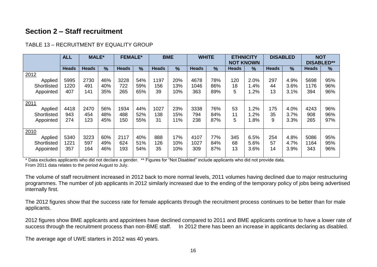# **Section 2 – Staff recruitment**

|                                             | <b>ALL</b>          | <b>MALE*</b>       |                   | <b>FEMALE*</b>     |                   | <b>BME</b>        |                   | <b>WHITE</b>        |                   | <b>ETHNICITY</b><br><b>NOT KNOWN</b> |                      |                 | <b>DISABLED</b>      | <b>NOT</b><br><b>DISABLED**</b> |                   |
|---------------------------------------------|---------------------|--------------------|-------------------|--------------------|-------------------|-------------------|-------------------|---------------------|-------------------|--------------------------------------|----------------------|-----------------|----------------------|---------------------------------|-------------------|
|                                             | <b>Heads</b>        | <b>Heads</b>       | $\frac{9}{6}$     | <b>Heads</b>       | $\frac{9}{6}$     | <b>Heads</b>      | $\frac{9}{6}$     | <b>Heads</b>        | $\frac{0}{0}$     | <b>Heads</b>                         | $\frac{9}{6}$        | <b>Heads</b>    | $\frac{9}{6}$        | <b>Heads</b>                    | $\frac{0}{0}$     |
| 2012<br>Applied<br>Shortlisted<br>Appointed | 5995<br>1220<br>407 | 2730<br>491<br>141 | 46%<br>40%<br>35% | 3228<br>722<br>265 | 54%<br>59%<br>65% | 1197<br>156<br>39 | 20%<br>3%<br>10%  | 4678<br>1046<br>363 | 78%<br>86%<br>89% | 120<br>18<br>5                       | 2.0%<br>.4%<br>.2%   | 297<br>44<br>13 | 4.9%<br>3.6%<br>3.1% | 5698<br>1176<br>394             | 95%<br>96%<br>96% |
| 2011<br>Applied<br>Shortlisted<br>Appointed | 4418<br>943<br>274  | 2470<br>454<br>123 | 56%<br>48%<br>45% | 1934<br>488<br>150 | 44%<br>52%<br>55% | 1027<br>138<br>31 | 23%<br>15%<br>11% | 3338<br>794<br>238  | 76%<br>84%<br>87% | 53<br>11<br>5                        | .2%<br>.2%<br>.8%    | 175<br>35<br>9  | 4.0%<br>3.7%<br>3.3% | 4243<br>908<br>265              | 96%<br>96%<br>97% |
| 2010<br>Applied<br>Shortlisted<br>Appointed | 5340<br>1221<br>357 | 3223<br>597<br>164 | 60%<br>49%<br>46% | 2117<br>624<br>193 | 40%<br>51%<br>54% | 888<br>126<br>35  | 17%<br>10%<br>10% | 4107<br>1027<br>309 | 77%<br>84%<br>87% | 345<br>68<br>13                      | 6.5%<br>5.6%<br>3.6% | 254<br>57<br>14 | 4.8%<br>4.7%<br>3.9% | 5086<br>1164<br>343             | 95%<br>95%<br>96% |

#### TABLE 13 – RECRUITMENT BY EQUALITY GROUP

\* Data excludes applicants who did not declare a gender. \*\* Figures for "Not Disabled" include applicants who did not provide data. From 2011 data relates to the period August to July.

The volume of staff recruitment increased in 2012 back to more normal levels, 2011 volumes having declined due to major restructuring programmes. The number of job applicants in 2012 similarly increased due to the ending of the temporary policy of jobs being advertised internally first.

The 2012 figures show that the success rate for female applicants through the recruitment process continues to be better than for male applicants.

2012 figures show BME applicants and appointees have declined compared to 2011 and BME applicants continue to have a lower rate of success through the recruitment process than non-BME staff. In 2012 there has been an increase in applicants declaring as disabled.

The average age of UWE starters in 2012 was 40 years.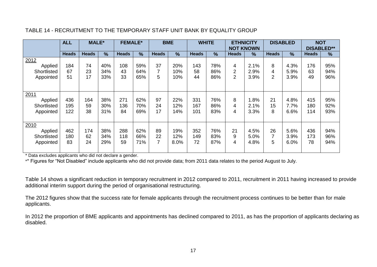|                                             | <b>ALL</b>        | <b>MALE*</b>    |                   | <b>FEMALE*</b>   |                   | <b>BME</b>     |                    | <b>WHITE</b>      |                   | <b>ETHNICITY</b><br><b>NOT KNOWN</b> |                      | <b>DISABLED</b> |                      | <b>NOT</b><br><b>DISABLED**</b> |                   |
|---------------------------------------------|-------------------|-----------------|-------------------|------------------|-------------------|----------------|--------------------|-------------------|-------------------|--------------------------------------|----------------------|-----------------|----------------------|---------------------------------|-------------------|
|                                             | <b>Heads</b>      | <b>Heads</b>    | $\frac{9}{6}$     | <b>Heads</b>     | $\%$              | <b>Heads</b>   | $\frac{9}{6}$      | <b>Heads</b>      | $\frac{9}{6}$     | <b>Heads</b>                         | $\frac{9}{6}$        | <b>Heads</b>    | $\%$                 | <b>Heads</b>                    | $\%$              |
| 2012<br>Applied<br>Shortlisted<br>Appointed | 184<br>67<br>51   | 74<br>23<br>17  | 40%<br>34%<br>33% | 108<br>43<br>33  | 59%<br>64%<br>65% | 37<br>5        | 20%<br>10%<br>10%  | 143<br>58<br>44   | 78%<br>86%<br>86% | 4<br>2<br>$\overline{2}$             | 2.1%<br>2.9%<br>3.9% | 8<br>4<br>2     | 4.3%<br>5.9%<br>3.9% | 176<br>63<br>49                 | 95%<br>94%<br>96% |
| 2011<br>Applied<br>Shortlisted<br>Appointed | 436<br>195<br>122 | 164<br>59<br>38 | 38%<br>30%<br>31% | 271<br>136<br>84 | 62%<br>70%<br>69% | 97<br>24<br>17 | 22%<br>12%<br>14%  | 331<br>167<br>101 | 76%<br>86%<br>83% | 8<br>4<br>4                          | 1.8%<br>2.1%<br>3.3% | 21<br>15<br>8   | 4.8%<br>7.7%<br>6.6% | 415<br>180<br>114               | 95%<br>92%<br>93% |
| 2010<br>Applied<br>Shortlisted<br>Appointed | 462<br>180<br>83  | 174<br>62<br>24 | 38%<br>34%<br>29% | 288<br>118<br>59 | 62%<br>66%<br>71% | 89<br>22<br>7  | 19%<br>12%<br>8.0% | 352<br>149<br>72  | 76%<br>83%<br>87% | 21<br>9<br>4                         | 4.5%<br>5.0%<br>4.8% | 26<br>5         | 5.6%<br>3.9%<br>6.0% | 436<br>173<br>78                | 94%<br>96%<br>94% |

#### TABLE 14 - RECRUITMENT TO THE TEMPORARY STAFF UNIT BANK BY EQUALITY GROUP

\* Data excludes applicants who did not declare a gender.

\*\* Figures for "Not Disabled" include applicants who did not provide data; from 2011 data relates to the period August to July.

Table 14 shows a significant reduction in temporary recruitment in 2012 compared to 2011, recruitment in 2011 having increased to provide additional interim support during the period of organisational restructuring.

The 2012 figures show that the success rate for female applicants through the recruitment process continues to be better than for male applicants.

In 2012 the proportion of BME applicants and appointments has declined compared to 2011, as has the proportion of applicants declaring as disabled.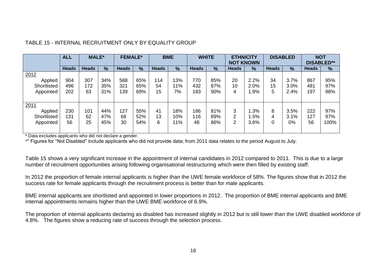|             | <b>ALL</b>   | <b>MALE*</b> |               | <b>FEMALE*</b> |               |              | <b>BME</b>    |              | <b>WHITE</b>  | <b>ETHNICITY</b> |        |              | <b>DISABLED</b> | <b>NOT</b>        |      |
|-------------|--------------|--------------|---------------|----------------|---------------|--------------|---------------|--------------|---------------|------------------|--------|--------------|-----------------|-------------------|------|
|             |              |              |               |                |               |              |               |              |               | <b>NOT KNOWN</b> |        |              |                 | <b>DISABLED**</b> |      |
|             | <b>Heads</b> | <b>Heads</b> | $\frac{9}{6}$ | <b>Heads</b>   | $\frac{9}{6}$ | <b>Heads</b> | $\frac{9}{6}$ | <b>Heads</b> | $\frac{9}{6}$ | <b>Heads</b>     | $\%$   | <b>Heads</b> | $\%$            | <b>Heads</b>      | %    |
| 2012        |              |              |               |                |               |              |               |              |               |                  |        |              |                 |                   |      |
| Applied     | 904          | 307          | 34%           | 588            | 65%           | 14           | 13%           | 770          | 85%           | 20               | 2.2%   | 34           | 3.7%            | 867               | 95%  |
| Shortlisted | 496          | 172          | 35%           | 321            | 65%           | 54           | 1%            | 432          | 87%           | 10               | 2.0%   | 15           | 3.0%            | 481               | 97%  |
| Appointed   | 202          | 63           | 31%           | 139            | 69%           | 15           | 7%            | 183          | 90%           | 4                | $.9\%$ | 5            | 2.4%            | 197               | 98%  |
|             |              |              |               |                |               |              |               |              |               |                  |        |              |                 |                   |      |
| 2011        |              |              |               |                |               |              |               |              |               |                  |        |              |                 |                   |      |
| Applied     | 230          | 101          | 44%           | 127            | 55%           | 41           | 18%           | 186          | 81%           | 3                | 1.3%   | 8            | 3.5%            | 222               | 97%  |
| Shortlisted | 131          | 62           | 47%           | 68             | 52%           | 13           | 10%           | 116          | 89%           | $\overline{2}$   | 1.5%   | 4            | 3.1%            | 127               | 97%  |
| Appointed   | 56           | 25           | 45%           | 30             | 54%           | 6            | 1%            | 48           | 86%           | $\overline{2}$   | 3.6%   |              | 0%              | 56                | 100% |
|             |              |              |               |                |               |              |               |              |               |                  |        |              |                 |                   |      |

#### TABLE 15 - INTERNAL RECRUITMENT ONLY BY EQUALITY GROUP

\* Data excludes applicants who did not declare a gender.

\*\* Figures for "Not Disabled" include applicants who did not provide data; from 2011 data relates to the period August to July.

Table 15 shows a very significant increase in the appointment of internal candidates in 2012 compared to 2011. This is due to a large number of recruitment opportunities arising following organisational restructuring which were then filled by existing staff.

In 2012 the proportion of female internal applicants is higher than the UWE female workforce of 58%. The figures show that in 2012 the success rate for female applicants through the recruitment process is better than for male applicants.

BME internal applicants are shortlisted and appointed in lower proportions in 2012. The proportion of BME internal applicants and BME internal appointments remains higher than the UWE BME workforce of 6.9%.

The proportion of internal applicants declaring as disabled has increased slightly in 2012 but is still lower than the UWE disabled workforce of 4.8%. The figures show a reducing rate of success through the selection process.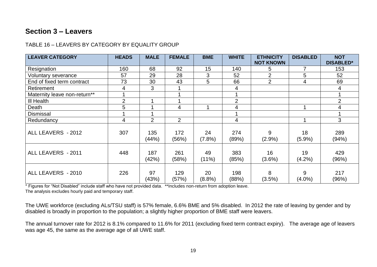# **Section 3 – Leavers**

#### TABLE 16 – LEAVERS BY CATEGORY BY EQUALITY GROUP

| <b>LEAVER CATEGORY</b>       | <b>HEADS</b>   | <b>MALE</b>    | <b>FEMALE</b>  | <b>BME</b>      | <b>WHITE</b>   | <b>ETHNICITY</b><br><b>NOT KNOWN</b> | <b>DISABLED</b> | <b>NOT</b><br><b>DISABLED*</b> |
|------------------------------|----------------|----------------|----------------|-----------------|----------------|--------------------------------------|-----------------|--------------------------------|
| Resignation                  | 160            | 68             | 92             | 15              | 140            | 5                                    | 7               | 153                            |
| Voluntary severance          | 57             | 29             | 28             | 3               | 52             | 2                                    | 5               | 52                             |
| End of fixed term contract   | 73             | 30             | 43             | 5               | 66             | $\overline{2}$                       | 4               | 69                             |
| Retirement                   | 4              | 3              |                |                 | 4              |                                      |                 | 4                              |
| Maternity leave non-return** |                |                |                |                 |                |                                      |                 |                                |
| III Health                   | $\overline{2}$ |                |                |                 | $\overline{2}$ |                                      |                 | $\overline{2}$                 |
| Death                        | 5              |                | 4              |                 | 4              |                                      |                 | 4                              |
| <b>Dismissal</b>             |                |                |                |                 |                |                                      |                 |                                |
| Redundancy                   | 4              | $\overline{2}$ | $\overline{2}$ |                 | 4              |                                      |                 | 3                              |
| ALL LEAVERS - 2012           | 307            | 135<br>(44%)   | 172<br>(56%)   | 24<br>$(7.8\%)$ | 274<br>(89%)   | 9<br>$(2.9\%)$                       | 18<br>$(5.9\%)$ | 289<br>(94%)                   |
| ALL LEAVERS - 2011           | 448            | 187<br>(42%)   | 261<br>(58%)   | 49<br>(11%)     | 383<br>(85%)   | 16<br>$(3.6\%)$                      | 19<br>$(4.2\%)$ | 429<br>(96%)                   |
| ALL LEAVERS - 2010           | 226            | 97<br>(43%)    | 129<br>(57%)   | 20<br>(8.8%)    | 198<br>(88%)   | 8<br>(3.5%)                          | 9<br>$(4.0\%)$  | 217<br>(96%)                   |

\* Figures for "Not Disabled" include staff who have not provided data. \*\*Includes non-return from adoption leave. The analysis excludes hourly paid and temporary staff.

The UWE workforce (excluding ALs/TSU staff) is 57% female, 6.6% BME and 5% disabled. In 2012 the rate of leaving by gender and by disabled is broadly in proportion to the population; a slightly higher proportion of BME staff were leavers.

The annual turnover rate for 2012 is 8.1% compared to 11.6% for 2011 (excluding fixed term contract expiry). The average age of leavers was age 45, the same as the average age of all UWE staff.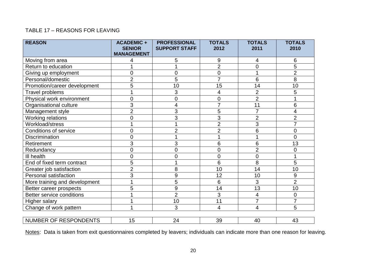#### TABLE 17 – REASONS FOR LEAVING

| <b>REASON</b>                                                          | <b>ACADEMIC +</b><br><b>SENIOR</b><br><b>MANAGEMENT</b> | <b>PROFESSIONAL</b><br><b>SUPPORT STAFF</b> | <b>TOTALS</b><br>2012 | <b>TOTALS</b><br>2011                                                                      | <b>TOTALS</b><br>2010                             |
|------------------------------------------------------------------------|---------------------------------------------------------|---------------------------------------------|-----------------------|--------------------------------------------------------------------------------------------|---------------------------------------------------|
| Moving from area                                                       | 4                                                       | 5                                           | 9                     | 4                                                                                          | 6                                                 |
| Return to education                                                    |                                                         |                                             | $\overline{2}$        | $\overline{0}$                                                                             | $\overline{5}$                                    |
| Giving up employment                                                   | 0                                                       | $\overline{0}$                              | 0                     | 1                                                                                          | $\overline{2}$                                    |
| Personal/domestic                                                      | $\overline{2}$                                          | 5                                           | $\overline{7}$        | 6                                                                                          | 8                                                 |
| Promotion/career development                                           | 5                                                       | 10                                          | 15                    | 14                                                                                         | 10                                                |
| Travel problems                                                        |                                                         | 3                                           | 4                     | $\overline{2}$                                                                             | 5                                                 |
| Physical work environment                                              | $\overline{0}$                                          | $\overline{0}$                              | $\mathbf 0$           | $\overline{2}$                                                                             |                                                   |
| Organisational culture                                                 | 3                                                       | 4                                           | $\overline{7}$        | 11                                                                                         | 6                                                 |
| Management style                                                       | $\overline{2}$                                          | 3                                           | 5                     | $\overline{7}$                                                                             | 4                                                 |
| Working relations                                                      | 0                                                       | 3                                           | 3                     |                                                                                            |                                                   |
|                                                                        |                                                         |                                             | $\overline{2}$        |                                                                                            | 7                                                 |
| <b>Conditions of service</b>                                           | 0                                                       | $\overline{2}$                              | $\overline{2}$        | 6                                                                                          | $\boldsymbol{0}$                                  |
| <b>Discrimination</b>                                                  | 0                                                       |                                             | 1                     | 1                                                                                          | $\overline{0}$                                    |
| Retirement                                                             | 3                                                       | 3                                           | 6                     | 6                                                                                          | 13                                                |
| Redundancy                                                             | 0                                                       | 0                                           | $\overline{0}$        |                                                                                            | $\mathbf 0$                                       |
| III health                                                             | 0                                                       | 0                                           | $\overline{0}$        |                                                                                            |                                                   |
|                                                                        |                                                         |                                             | 6                     |                                                                                            |                                                   |
| Greater job satisfaction                                               |                                                         | 8                                           | 10                    | 14                                                                                         | 10                                                |
| Personal satisfaction                                                  |                                                         | 9                                           | 12                    | 10                                                                                         | 9                                                 |
| More training and development                                          |                                                         | 5                                           | 6                     | 3                                                                                          |                                                   |
| Better career prospects                                                | 5                                                       | 9                                           | 14                    |                                                                                            |                                                   |
| <b>Better service conditions</b>                                       |                                                         | $\overline{2}$                              | 3                     | 4                                                                                          | 0                                                 |
| Higher salary                                                          |                                                         | 10                                          |                       |                                                                                            | 7                                                 |
| Change of work pattern                                                 |                                                         | 3                                           | 4                     | 4                                                                                          | 5                                                 |
|                                                                        |                                                         |                                             |                       |                                                                                            |                                                   |
| Workload/stress<br>End of fixed term contract<br>NUMBER OF RESPONDENTS | 5<br>$\overline{2}$<br>3<br>15                          | 24                                          | 11<br>39              | $\overline{2}$<br>3<br>$\overline{2}$<br>$\overline{0}$<br>8<br>13<br>$\overline{7}$<br>40 | $\overline{2}$<br>5<br>$\overline{2}$<br>10<br>43 |

Notes: Data is taken from exit questionnaires completed by leavers; individuals can indicate more than one reason for leaving.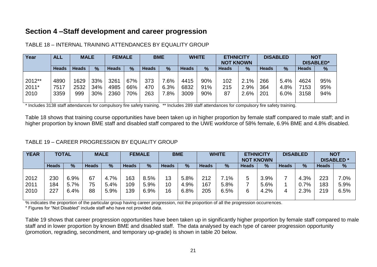# **Section 4 –Staff development and career progression**

| Year   | <b>ALL</b>   | <b>MALE</b>  |            | <b>FEMALE</b> |               | <b>BME</b> |                | <b>WHITE</b> |            | <b>ETHNICITY</b><br><b>NOT KNOWN</b> |              |              | <b>DISABLED</b> |              | <b>NOT</b><br><b>DISABLED*</b> |
|--------|--------------|--------------|------------|---------------|---------------|------------|----------------|--------------|------------|--------------------------------------|--------------|--------------|-----------------|--------------|--------------------------------|
|        | <b>Heads</b> | <b>Heads</b> | %          | <b>Heads</b>  | $\frac{9}{6}$ | Heads      | $\frac{9}{6}$  | <b>Heads</b> | %          | <b>Heads</b>                         | $\%$         | <b>Heads</b> | $\frac{9}{6}$   | <b>Heads</b> | %                              |
| 2012** |              |              |            |               |               |            |                |              |            |                                      |              |              |                 | 4624         |                                |
| 2011*  | 4890<br>7517 | 1629<br>2532 | 33%<br>34% | 3261<br>4985  | 67%<br>66%    | 373<br>470 | $.6\%$<br>6.3% | 4415<br>6832 | 90%<br>91% | 102<br>215                           | 2.1%<br>2.9% | 266<br>364   | 5.4%<br>4.8%    | 7153         | 95%<br>95%                     |
| 2010   | 3359         | 999          | 30%        | 2360          | 70%           | 263        | $.8\%$         | 3009         | 90%        | 87                                   | 2.6%         | 201          | 6.0%            | 3158         | 94%                            |

#### TABLE 18 – INTERNAL TRAINING ATTENDANCES BY EQUALITY GROUP

\* Includes 3138 staff attendances for compulsory fire safety training. \*\* Includes 289 staff attendances for compulsory fire safety training.

Table 18 shows that training course opportunities have been taken up in higher proportion by female staff compared to male staff; and in higher proportion by known BME staff and disabled staff compared to the UWE workforce of 58% female, 6.9% BME and 4.8% disabled.

#### TABLE 19 – CAREER PROGRESSION BY EQUALITY GROUP

| <b>YEAR</b> |              | <b>TOTAL</b> |              | <b>MALE</b>   |              | <b>FEMALE</b> |              | <b>BME</b> |              | <b>WHITE</b> | <b>ETHNICITY</b> | <b>NOT KNOWN</b> |              | <b>DISABLED</b> |              | <b>NOT</b><br><b>DISABLED*</b> |
|-------------|--------------|--------------|--------------|---------------|--------------|---------------|--------------|------------|--------------|--------------|------------------|------------------|--------------|-----------------|--------------|--------------------------------|
|             | <b>Heads</b> | %            | <b>Heads</b> | $\frac{9}{6}$ | <b>Heads</b> | $\%$          | <b>Heads</b> | %          | <b>Heads</b> | %            | <b>Heads</b>     | $\%$             | <b>Heads</b> | %               | <b>Heads</b> | %                              |
|             |              |              |              |               |              |               |              |            |              |              |                  |                  |              |                 |              |                                |
| 2012        | 230          | 6.9%         | 67           | 4.7%          | 163          | 8.5%          | 13           | 5.8%       | 212          | $7.1\%$      | 5                | 3.9%             |              | 4.3%            | 223          | $.0\%$                         |
| 2011        | 184          | 5.7%         | 75           | 5.4%          | 109          | 5.9%          | 10           | 4.9%       | 167          | 5.8%         |                  | 5.6%             |              | 0.7%            | 183          | 5.9%                           |
| 2010        | 227          | 6.4%         | 88           | 5.9%          | 139          | 6.9%          | 16           | 6.8%       | 205          | 6.5%         | 6                | 4.2%             |              | 2.3%            | 219          | 6.5%                           |
|             |              |              |              |               |              |               |              |            |              |              |                  |                  |              |                 |              |                                |

% indicates the proportion of the particular group having career progression, not the proportion of all the progression occurrences.

\* Figures for "Not Disabled" include staff who have not provided data.

Table 19 shows that career progression opportunities have been taken up in significantly higher proportion by female staff compared to male staff and in lower proportion by known BME and disabled staff. The data analysed by each type of career progression opportunity (promotion, regrading, secondment, and temporary up-grade) is shown in table 20 below.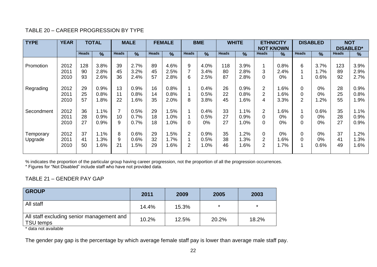#### TABLE 20 – CAREER PROGRESSION BY TYPE

| <b>TYPE</b>            | <b>YEAR</b>                  |                       | <b>TOTAL</b>                 |                      | <b>MALE</b>                  |                      | <b>FEMALE</b>                |                                  | <b>BME</b>                   |                       | <b>WHITE</b>                 |                                                    | <b>ETHNICITY</b><br><b>NOT KNOWN</b> |                     | <b>DISABLED</b>               |                       | <b>NOT</b><br><b>DISABLED*</b> |
|------------------------|------------------------------|-----------------------|------------------------------|----------------------|------------------------------|----------------------|------------------------------|----------------------------------|------------------------------|-----------------------|------------------------------|----------------------------------------------------|--------------------------------------|---------------------|-------------------------------|-----------------------|--------------------------------|
|                        |                              | <b>Heads</b>          | $\frac{9}{6}$                | <b>Heads</b>         | $\frac{9}{6}$                | <b>Heads</b>         | $\frac{9}{6}$                | <b>Heads</b>                     | $\%$                         | <b>Heads</b>          | $\frac{9}{6}$                | <b>Heads</b>                                       | %                                    | <b>Heads</b>        | %                             | <b>Heads</b>          | $\frac{9}{6}$                  |
| Promotion<br>Regrading | 2012<br>2011<br>2010<br>2012 | 128<br>90<br>93<br>29 | 3.8%<br>2.8%<br>2.6%<br>0.9% | 39<br>45<br>36<br>13 | 2.7%<br>3.2%<br>2.4%<br>0.9% | 89<br>45<br>57<br>16 | 4.6%<br>2.5%<br>2.8%<br>0.8% | 9<br>$\overline{7}$<br>6         | 4.0%<br>3.4%<br>2.5%<br>0.4% | 118<br>80<br>87<br>26 | 3.9%<br>2.8%<br>2.8%<br>0.9% | 3<br>0<br>$\overline{2}$                           | 0.8%<br>2.4%<br>0%<br>.6%            | 6<br>$\Omega$       | 3.7%<br>$1.7\%$<br>0.6%<br>0% | 123<br>89<br>92<br>28 | 3.9%<br>2.9%<br>2.7%<br>0.9%   |
|                        | 2011<br>2010                 | 25<br>57              | 0.8%<br>1.8%                 | 11<br>22             | 0.8%<br>1.6%                 | 14<br>35             | 0.8%<br>2.0%                 | 8                                | 0.5%<br>3.8%                 | 22<br>45              | 0.8%<br>1.6%                 | $\overline{2}$<br>4                                | $.6\%$<br>3.3%                       | 0<br>$\overline{2}$ | 0%<br>1.2%                    | 25<br>55              | 0.8%<br>1.9%                   |
| Secondment             | 2012<br>2011<br>2010         | 36<br>28<br>27        | 1.1%<br>0.9%<br>0.9%         | 7<br>10<br>9         | 0.5%<br>0.7%<br>0.7%         | 29<br>18<br>18       | .5%<br>$.0\%$<br>.0%         | 0                                | 0.4%<br>0.5%<br>$0\%$        | 33<br>27<br>27        | 1.1%<br>0.9%<br>1.0%         | $\overline{2}$<br>$\overline{0}$<br>$\overline{0}$ | .6%<br>0%<br>0%                      | 0<br>$\Omega$       | 0.6%<br>0%<br>0%              | 35<br>28<br>27        | 1.1%<br>0.9%<br>0.9%           |
| Temporary<br>Upgrade   | 2012<br>2011<br>2010         | 37<br>41<br>50        | 1.1%<br>1.3%<br>1.6%         | 8<br>9<br>21         | 0.6%<br>0.6%<br>1.5%         | 29<br>32<br>29       | .5%<br>$.7\%$<br>.6%         | $\overline{2}$<br>$\overline{2}$ | 0.9%<br>0.5%<br>1.0%         | 35<br>38<br>46        | .2%<br>.3%<br>6%،            | $\mathbf 0$<br>2<br>2                              | 0%<br>.6%<br>1.7%                    | $\overline{0}$<br>0 | $0\%$<br>0%<br>0.6%           | 37<br>41<br>49        | 1.2%<br>1.3%<br>1.6%           |

% indicates the proportion of the particular group having career progression, not the proportion of all the progression occurrences.

\* Figures for "Not Disabled" include staff who have not provided data.

#### TABLE 21 – GENDER PAY GAP

| <b>GROUP</b>                                           | 2011  | 2009  | 2005   | 2003    |
|--------------------------------------------------------|-------|-------|--------|---------|
| All staff                                              | 14.4% | 15.3% | $\ast$ | $\star$ |
| All staff excluding senior management and<br>TSU temps | 10.2% | 12.5% | 20.2%  | 18.2%   |

\* data not available

The gender pay gap is the percentage by which average female staff pay is lower than average male staff pay.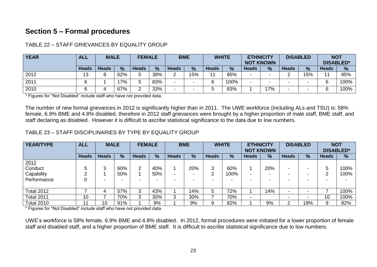# **Section 5 – Formal procedures**

| <b>YEAR</b> | <b>ALL</b> | <b>MALE</b>  |               | <b>FEMALE</b> |     | <b>BME</b>   |     |                | <b>WHITE</b>  | <b>ETHNICITY</b><br><b>NOT KNOWN</b> |               |              | <b>DISABLED</b> | <b>NOT</b><br><b>DISABLED*</b> |               |
|-------------|------------|--------------|---------------|---------------|-----|--------------|-----|----------------|---------------|--------------------------------------|---------------|--------------|-----------------|--------------------------------|---------------|
|             | Heads      | <b>Heads</b> | $\frac{0}{0}$ | <b>Heads</b>  | %   | <b>Heads</b> | %   | <b>Heads</b>   | $\frac{0}{0}$ | <b>Heads</b>                         | $\frac{9}{6}$ | <b>Heads</b> | $\frac{9}{6}$   | <b>Heads</b>                   | $\frac{9}{6}$ |
| 2012        | 13         | o<br>O       | 62%           | ς             | 38% | $\sim$       | 15% | $\overline{A}$ | 85%           |                                      |               |              | 15%             | 4 <sub>4</sub>                 | 85%           |
| 2011        | Q          |              | 17%           |               | 83% | -            | -   | ี              | 100%          |                                      | -             |              |                 |                                | 100%          |
| 2010        | ⌒          | д.           | 67%           |               | 33% | -            | -   |                | 83%           |                                      | 17%           |              |                 |                                | 100%          |

TABLE 22 – STAFF GRIEVANCES BY EQUALITY GROUP

\* Figures for "Not Disabled" include staff who have not provided data.

The number of new formal grievances in 2012 is significantly higher than in 2011. The UWE workforce (including ALs and TSU) is: 58% female, 6.9% BME and 4.8% disabled, therefore in 2012 staff grievances were brought by a higher proportion of male staff, BME staff, and staff declaring as disabled. However it is difficult to ascribe statistical significance to the data due to low numbers.

#### TABLE 23 – STAFF DISCIPLINARIES BY TYPE BY EQUALITY GROUP

| YEAR/TYPE              | <b>ALL</b>   | <b>MALE</b>  |     | <b>FEMALE</b> |               |              | <b>BME</b>    |              | <b>WHITE</b>  | <b>ETHNICITY</b><br><b>NOT KNOWN</b> |      | <b>DISABLED</b> |               | <b>NOT</b><br><b>DISABLED*</b> |      |
|------------------------|--------------|--------------|-----|---------------|---------------|--------------|---------------|--------------|---------------|--------------------------------------|------|-----------------|---------------|--------------------------------|------|
|                        | <b>Heads</b> | <b>Heads</b> | %   | <b>Heads</b>  | $\frac{9}{6}$ | <b>Heads</b> | $\frac{9}{6}$ | <b>Heads</b> | $\frac{0}{0}$ | <b>Heads</b>                         | $\%$ | <b>Heads</b>    | $\frac{9}{6}$ | <b>Heads</b>                   | $\%$ |
| $\frac{2012}{$ Conduct |              |              |     |               |               |              |               |              |               |                                      |      |                 |               |                                |      |
|                        |              | ว            | 60% | 2             | 40%           |              | 20%           | 3            | 60%           |                                      | 20%  |                 |               | 5                              | 100% |
| Capability             | ⌒            |              | 50% |               | 50%           | -            |               | ⌒<br>∠       | 100%          |                                      | -    |                 |               | ◠                              | 100% |
| Performance            |              | -            |     |               |               |              |               |              |               |                                      |      |                 |               |                                |      |
|                        |              |              |     |               |               |              |               |              |               |                                      |      |                 |               |                                |      |
| <b>Total 2012</b>      |              | 4            | 57% | 3             | 43%           |              | 14%           | 5            | 72%           |                                      | 14%  |                 |               |                                | 100% |
| <b>Total 2011</b>      | 10           |              | 70% | 3             | 30%           | 3            | 30%           |              | 70%           |                                      |      |                 |               | 10                             | 100% |
| <b>Total 2010</b>      | ٠            | 10           | 91% |               | 9%            |              | 9%            | 9            | 82%           |                                      | 9%   | ົ               | 18%           | 9                              | 82%  |

\* Figures for "Not Disabled" include staff who have not provided data.

UWE's workforce is 58% female, 6.9% BME and 4.8% disabled. In 2012, formal procedures were initiated for a lower proportion of female staff and disabled staff, and a higher proportion of BME staff. It is difficult to ascribe statistical significance due to low numbers.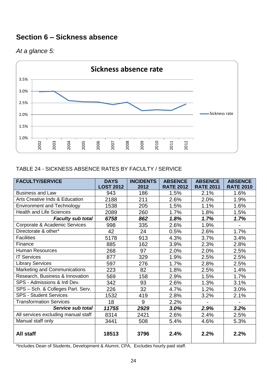# **Section 6 – Sickness absence**

# *At a glance 5:*



#### TABLE 24 - SICKNESS ABSENCE RATES BY FACULTY / SERVICE

| <b>FACULTY/SERVICE</b>              | <b>DAYS</b>      | <b>INCIDENTS</b> | <b>ABSENCE</b>   | <b>ABSENCE</b>   | <b>ABSENCE</b>   |
|-------------------------------------|------------------|------------------|------------------|------------------|------------------|
|                                     | <b>LOST 2012</b> | 2012             | <b>RATE 2012</b> | <b>RATE 2011</b> | <b>RATE 2010</b> |
| <b>Business and Law</b>             | 943              | 186              | 1.5%             | 2.1%             | 1.6%             |
| Arts Creative Inds & Education      | 2188             | 211              | 2.6%             | 2.0%             | 1.9%             |
| <b>Environment and Technology</b>   | 1538             | 205              | 1.5%             | 1.1%             | 1.6%             |
| <b>Health and Life Sciences</b>     | 2089             | 260              | 1.7%             | 1.8%             | 1.5%             |
| <b>Faculty sub total</b>            | 6758             | 862              | 1.8%             | 1.7%             | 1.7%             |
| Corporate & Academic Services       | 998              | 335              | 2.6%             | 1.9%             |                  |
| Directorate & other*                | 42               | 24               | 0.5%             | 2.6%             | 1.7%             |
| <b>Facilities</b>                   | 5178             | 913              | 4.3%             | 3.7%             | 3.4%             |
| Finance                             | 885              | 162              | 3.9%             | 2.3%             | 2.8%             |
| <b>Human Resources</b>              | 268              | 97               | 2.0%             | 2.0%             | 2.5%             |
| <b>IT Services</b>                  | 877              | 329              | 1.9%             | 2.5%             | 2.5%             |
| <b>Library Services</b>             | 597              | 276              | 1.7%             | 2.8%             | 2.5%             |
| Marketing and Communications        | 223              | 82               | 1.8%             | 2.5%             | 1.4%             |
| Research, Business & Innovation     | 569              | 158              | 2.9%             | 1.5%             | 1.7%             |
| SPS - Admissions & Intl Dev.        | 342              | 93               | 2.6%             | 1.3%             | 3.1%             |
| SPS - Sch. & Colleges Part. Serv.   | 226              | 32               | 4.7%             | 1.2%             | 3.0%             |
| <b>SPS - Student Services</b>       | 1532             | 419              | 2.8%             | 3.2%             | 2.1%             |
| <b>Transformation Services</b>      | 18               | 9                | 2.2%             |                  |                  |
| Service sub total                   | 11755            | 2929             | 3.0%             | 2.9%             | 3.2%             |
| All services excluding manual staff | 8314             | 2421             | 2.6%             | 2.4%             | 2.5%             |
| Manual staff only                   | 3441             | 508              | 5.4%             | 4.6%             | 5.3%             |
| All staff                           | 18513            | 3796             | 2.4%             | 2.2%             | 2.2%             |

\*Includes Dean of Students, Development & Alumni, CPA, Excludes hourly paid staff.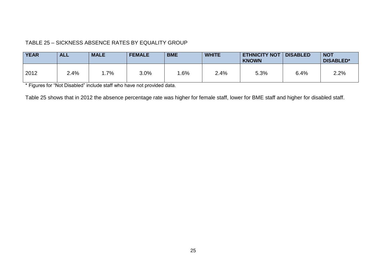#### TABLE 25 – SICKNESS ABSENCE RATES BY EQUALITY GROUP

| <b>YEAR</b> | <b>ALL</b> | <b>MALE</b> | <b>FEMALE</b> | <b>BME</b> | <b>WHITE</b> | <b>ETHNICITY NOT</b><br><b>KNOWN</b> | <b>DISABLED</b> | <b>NOT</b><br><b>DISABLED*</b> |
|-------------|------------|-------------|---------------|------------|--------------|--------------------------------------|-----------------|--------------------------------|
| 2012        | 2.4%       | $.7\%$      | 3.0%          | .6%        | 2.4%         | 5.3%                                 | 6.4%            | 2.2%                           |

\* Figures for "Not Disabled" include staff who have not provided data.

Table 25 shows that in 2012 the absence percentage rate was higher for female staff, lower for BME staff and higher for disabled staff.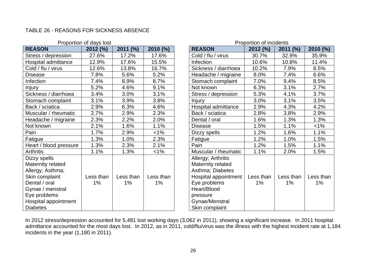#### TABLE 26 - REASONS FOR SICKNESS ABSENCE

|                        | Proportion of days lost |            |           |                      | Proportion of incluents |            |           |
|------------------------|-------------------------|------------|-----------|----------------------|-------------------------|------------|-----------|
| <b>REASON</b>          | 2012(%)                 | $2011$ (%) | 2010 (%)  | <b>REASON</b>        | 2012(%)                 | $2011$ (%) | 2010 (%)  |
| Stress / depression    | 27.6%                   | 17.2%      | 17.6%     | Cold / flu / virus   | 30.7%                   | 32.9%      | 35.9%     |
| Hospital admittance    | 12.9%                   | 17.6%      | 15.5%     | Infection            | 10.6%                   | 10.8%      | 11.4%     |
| Cold / flu / virus     | 12.6%                   | 13.8%      | 16.7%     | Sickness / diarrhoea | 10.2%                   | 7.9%       | 8.5%      |
| <b>Disease</b>         | 7.8%                    | 5.6%       | 5.2%      | Headache / migraine  | 8.0%                    | 7.4%       | 6.6%      |
| <b>Infection</b>       | 7.4%                    | 8.9%       | 8.7%      | Stomach complaint    | 7.0%                    | 9.4%       | 8.5%      |
| Injury                 | 5.2%                    | 4.6%       | 9.1%      | Not known            | 6.3%                    | 3.1%       | 2.7%      |
| Sickness / diarrhoea   | 3.4%                    | 3.0%       | 3.1%      | Stress / depression  | 5.3%                    | 4.1%       | 3.7%      |
| Stomach complaint      | 3.1%                    | 3.9%       | 3.8%      | <b>Injury</b>        | 3.0%                    | 3.1%       | 3.5%      |
| Back / sciatica        | 2.9%                    | 6.3%       | 4.6%      | Hospital admittance  | 2.9%                    | 4.3%       | 4.2%      |
| Muscular / rheumatic   | 2.7%                    | 2.9%       | 2.3%      | Back / sciatica      | 2.8%                    | 3.8%       | 2.9%      |
| Headache / migraine    | 2.3%                    | 2.2%       | 2.0%      | Dental / oral        | 1.6%                    | 1.3%       | 1.3%      |
| Not known              | 2.1%                    | 1.6%       | 1.1%      | <b>Disease</b>       | 1.5%                    | 1.1%       | $<1\%$    |
| Pain                   | 1.7%                    | 2.9%       | $1\%$     | Dizzy spells         | 1.2%                    | 1.6%       | 1.1%      |
| Fatigue                | 1.3%                    | 1.0%       | 2.3%      | Fatigue              | 1.2%                    | 1.0%       | 1.5%      |
| Heart / blood pressure | 1.3%                    | 2.3%       | 2.1%      | Pain                 | 1.2%                    | 1.5%       | 1.1%      |
| <b>Arthritis</b>       | 1.1%                    | 1.3%       | $1\%$     | Muscular / rheumatic | 1.1%                    | 2.0%       | 1.5%      |
| Dizzy spells           |                         |            |           | Allergy; Arthritis   |                         |            |           |
| Maternity related      |                         |            |           | Maternity related    |                         |            |           |
| Allergy; Asthma;       |                         |            |           | Asthma; Diabetes     |                         |            |           |
| Skin complaint         | Less than               | Less than  | Less than | Hospital appointment | Less than               | Less than  | Less thar |
| Dental / oral          | 1%                      | $1\%$      | 1%        | Eye problems         | $1\%$                   | 1%         | $1\%$     |
| Gynae / menstral       |                         |            |           | Heart/Blood          |                         |            |           |
| Eye problems           |                         |            |           | pressure             |                         |            |           |
| Hospital appointment   |                         |            |           | Gynae/Menstral       |                         |            |           |
| <b>Diabetes</b>        |                         |            |           | Skin complaint       |                         |            |           |

|                                      | Proportion of days lost |                    |                 | Proportion of incidents                                                                                                                                            |                 |                    |                    |  |  |
|--------------------------------------|-------------------------|--------------------|-----------------|--------------------------------------------------------------------------------------------------------------------------------------------------------------------|-----------------|--------------------|--------------------|--|--|
|                                      | 2012 (%)                | 2011 (%)           | 2010 (%)        | <b>REASON</b>                                                                                                                                                      | 2012 (%)        | 2011 (%)           | 2010(%)            |  |  |
| ssion                                | 27.6%                   | 17.2%              | 17.6%           | Cold / flu / virus                                                                                                                                                 | 30.7%           | 32.9%              | 35.9%              |  |  |
| ttance                               | 12.9%                   | 17.6%              | 15.5%           | Infection                                                                                                                                                          | 10.6%           | 10.8%              | 11.4%              |  |  |
| JS                                   | 12.6%                   | 13.8%              | 16.7%           | Sickness / diarrhoea                                                                                                                                               | 10.2%           | 7.9%               | 8.5%               |  |  |
|                                      | 7.8%                    | 5.6%               | 5.2%            | Headache / migraine                                                                                                                                                | 8.0%            | 7.4%               | 6.6%               |  |  |
|                                      | 7.4%                    | 8.9%               | 8.7%            | Stomach complaint                                                                                                                                                  | 7.0%            | 9.4%               | 8.5%               |  |  |
|                                      | 5.2%                    | 4.6%               | 9.1%            | Not known                                                                                                                                                          | 6.3%            | 3.1%               | 2.7%               |  |  |
| irrhoea                              | 3.4%                    | 3.0%               | 3.1%            | Stress / depression                                                                                                                                                | 5.3%            | 4.1%               | 3.7%               |  |  |
| plaint                               | 3.1%                    | 3.9%               | 3.8%            | Injury                                                                                                                                                             | 3.0%            | 3.1%               | 3.5%               |  |  |
|                                      | 2.9%                    | 6.3%               | 4.6%            | Hospital admittance                                                                                                                                                | 2.9%            | 4.3%               | 4.2%               |  |  |
| eumatic                              | 2.7%                    | 2.9%               | 2.3%            | Back / sciatica                                                                                                                                                    | 2.8%            | 3.8%               | 2.9%               |  |  |
| igraine                              | 2.3%                    | 2.2%               | 2.0%            | Dental / oral                                                                                                                                                      | 1.6%            | 1.3%               | 1.3%               |  |  |
|                                      | 2.1%                    | 1.6%               | 1.1%            | <b>Disease</b>                                                                                                                                                     | 1.5%            | 1.1%               | $1\%$              |  |  |
|                                      | 1.7%                    | 2.9%               | $1\%$           | Dizzy spells                                                                                                                                                       | 1.2%            | 1.6%               | 1.1%               |  |  |
|                                      | 1.3%                    | 1.0%               | 2.3%            | Fatigue                                                                                                                                                            | 1.2%            | 1.0%               | 1.5%               |  |  |
| pressure                             | 1.3%                    | 2.3%               | 2.1%            | Pain                                                                                                                                                               | 1.2%            | 1.5%               | 1.1%               |  |  |
|                                      | 1.1%                    | 1.3%               | $1\%$           | Muscular / rheumatic                                                                                                                                               | 1.1%            | 2.0%               | 1.5%               |  |  |
| ted<br>na;<br>١t<br>stral<br>intment | Less than<br>1%         | Less than<br>$1\%$ | Less than<br>1% | Allergy; Arthritis<br>Maternity related<br>Asthma; Diabetes<br>Hospital appointment<br>Eye problems<br>Heart/Blood<br>pressure<br>Gynae/Menstral<br>Skin complaint | Less than<br>1% | Less than<br>$1\%$ | Less than<br>$1\%$ |  |  |

In 2012 stress/depression accounted for 5,481 lost working days (3,062 in 2011), showing a significant increase. In 2011 hospital admittance accounted for the most days lost. In 2012, as in 2011, cold/flu/virus was the illness with the highest incident rate at 1,184 incidents in the year (1,180 in 2011).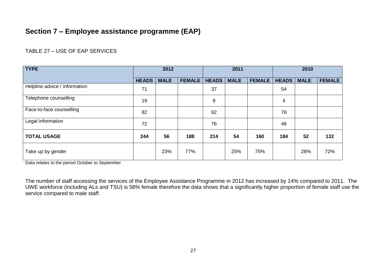# **Section 7 – Employee assistance programme (EAP)**

#### TABLE 27 – USE OF EAP SERVICES

| <b>TYPE</b>                   | 2012         |             |               | 2011         |             | 2010          |              |             |               |
|-------------------------------|--------------|-------------|---------------|--------------|-------------|---------------|--------------|-------------|---------------|
|                               | <b>HEADS</b> | <b>MALE</b> | <b>FEMALE</b> | <b>HEADS</b> | <b>MALE</b> | <b>FEMALE</b> | <b>HEADS</b> | <b>MALE</b> | <b>FEMALE</b> |
| Helpline advice / information | 71           |             |               | 37           |             |               | 54           |             |               |
| Telephone counselling         | 19           |             |               | 9            |             |               | 4            |             |               |
| Face-to-face counselling      | 82           |             |               | 92           |             |               | 78           |             |               |
| Legal information             | 72           |             |               | 76           |             |               | 48           |             |               |
| <b>TOTAL USAGE</b>            | 244          | 56          | 188           | 214          | 54          | 160           | 184          | 52          | 132           |
| Take up by gender             |              | 23%         | 77%           |              | 25%         | 75%           |              | 28%         | 72%           |

Data relates to the period October to September

The number of staff accessing the services of the Employee Assistance Programme in 2012 has increased by 14% compared to 2011. The UWE workforce (including ALs and TSU) is 58% female therefore the data shows that a significantly higher proportion of female staff use the service compared to male staff.